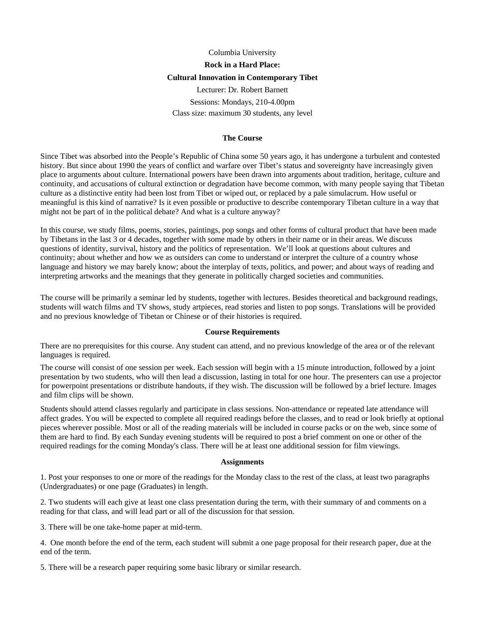# Columbia University **Rock in a Hard Place: Cultural Innovation in Contemporary Tibet**  Lecturer: Dr. Robert Barnett

Sessions: Mondays, 210-4.00pm Class size: maximum 30 students, any level

#### **The Course**

Since Tibet was absorbed into the People's Republic of China some 50 years ago, it has undergone a turbulent and contested history. But since about 1990 the years of conflict and warfare over Tibet's status and sovereignty have increasingly given place to arguments about culture. International powers have been drawn into arguments about tradition, heritage, culture and continuity, and accusations of cultural extinction or degradation have become common, with many people saying that Tibetan culture as a distinctive entity had been lost from Tibet or wiped out, or replaced by a pale simulacrum. How useful or meaningful is this kind of narrative? Is it even possible or productive to describe contemporary Tibetan culture in a way that might not be part of in the political debate? And what is a culture anyway?

In this course, we study films, poems, stories, paintings, pop songs and other forms of cultural product that have been made by Tibetans in the last 3 or 4 decades, together with some made by others in their name or in their areas. We discuss questions of identity, survival, history and the politics of representation. We'll look at questions about cultures and continuity; about whether and how we as outsiders can come to understand or interpret the culture of a country whose language and history we may barely know; about the interplay of texts, politics, and power; and about ways of reading and interpreting artworks and the meanings that they generate in politically charged societies and communities.

The course will be primarily a seminar led by students, together with lectures. Besides theoretical and background readings, students will watch films and TV shows, study artpieces, read stories and listen to pop songs. Translations will be provided and no previous knowledge of Tibetan or Chinese or of their histories is required.

#### **Course Requirements**

There are no prerequisites for this course. Any student can attend, and no previous knowledge of the area or of the relevant languages is required.

The course will consist of one session per week. Each session will begin with a 15 minute introduction, followed by a joint presentation by two students, who will then lead a discussion, lasting in total for one hour. The presenters can use a projector for powerpoint presentations or distribute handouts, if they wish. The discussion will be followed by a brief lecture. Images and film clips will be shown.

Students should attend classes regularly and participate in class sessions. Non-attendance or repeated late attendance will affect grades. You will be expected to complete all required readings before the classes, and to read or look briefly at optional pieces wherever possible. Most or all of the reading materials will be included in course packs or on the web, since some of them are hard to find. By each Sunday evening students will be required to post a brief comment on one or other of the required readings for the coming Monday's class. There will be at least one additional session for film viewings.

#### **Assignments**

1. Post your responses to one or more of the readings for the Monday class to the rest of the class, at least two paragraphs (Undergraduates) or one page (Graduates) in length.

2. Two students will each give at least one class presentation during the term, with their summary of and comments on a reading for that class, and will lead part or all of the discussion for that session.

3. There will be one take-home paper at mid-term.

4. One month before the end of the term, each student will submit a one page proposal for their research paper, due at the end of the term.

5. There will be a research paper requiring some basic library or similar research.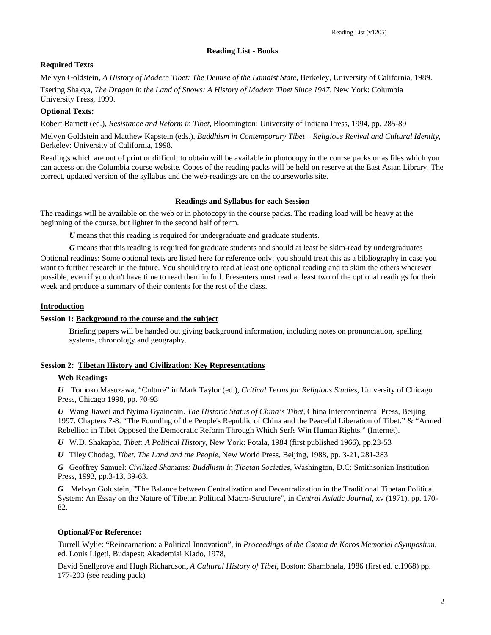# **Reading List - Books**

# **Required Texts**

Melvyn Goldstein, *A History of Modern Tibet: The Demise of the Lamaist State*, Berkeley, University of California, 1989.

Tsering Shakya, *The Dragon in the Land of Snows: A History of Modern Tibet Since 1947*. New York: Columbia University Press, 1999.

# **Optional Texts:**

Robert Barnett (ed.), *Resistance and Reform in Tibet*, Bloomington: University of Indiana Press, 1994, pp. 285-89

Melvyn Goldstein and Matthew Kapstein (eds.), *Buddhism in Contemporary Tibet – Religious Revival and Cultural Identity*, Berkeley: University of California, 1998.

Readings which are out of print or difficult to obtain will be available in photocopy in the course packs or as files which you can access on the Columbia course website. Copes of the reading packs will be held on reserve at the East Asian Library. The correct, updated version of the syllabus and the web-readings are on the courseworks site.

### **Readings and Syllabus for each Session**

The readings will be available on the web or in photocopy in the course packs. The reading load will be heavy at the beginning of the course, but lighter in the second half of term.

*U* means that this reading is required for undergraduate and graduate students.

*G* means that this reading is required for graduate students and should at least be skim-read by undergraduates Optional readings: Some optional texts are listed here for reference only; you should treat this as a bibliography in case you want to further research in the future. You should try to read at least one optional reading and to skim the others wherever possible, even if you don't have time to read them in full. Presenters must read at least two of the optional readings for their week and produce a summary of their contents for the rest of the class.

# **Introduction**

# **Session 1: Background to the course and the subject**

Briefing papers will be handed out giving background information, including notes on pronunciation, spelling systems, chronology and geography.

# **Session 2: Tibetan History and Civilization: Key Representations**

# **Web Readings**

*U* Tomoko Masuzawa, "Culture" in Mark Taylor (ed.), *Critical Terms for Religious Studies*, University of Chicago Press, Chicago 1998, pp. 70-93

*U* Wang Jiawei and Nyima Gyaincain. *The Historic Status of China's Tibet,* China Intercontinental Press, Beijing 1997. Chapters 7-8: "The Founding of the People's Republic of China and the Peaceful Liberation of Tibet." & "Armed Rebellion in Tibet Opposed the Democratic Reform Through Which Serfs Win Human Rights." (Internet).

*U* W.D. Shakapba, *Tibet: A Political History*, New York: Potala, 1984 (first published 1966), pp.23-53

*U* Tiley Chodag, *Tibet, The Land and the People*, New World Press, Beijing, 1988, pp. 3-21, 281-283

*G* Geoffrey Samuel: *Civilized Shamans: Buddhism in Tibetan Societies*, Washington, D.C: Smithsonian Institution Press, 1993, pp.3-13, 39-63.

*G* Melvyn Goldstein, "The Balance between Centralization and Decentralization in the Traditional Tibetan Political System: An Essay on the Nature of Tibetan Political Macro-Structure", in *Central Asiatic Journal*, xv (1971), pp. 170- 82.

# **Optional/For Reference:**

Turrell Wylie: "Reincarnation: a Political Innovation", in *Proceedings of the Csoma de Koros Memorial eSymposium*, ed. Louis Ligeti, Budapest: Akademiai Kiado, 1978,

David Snellgrove and Hugh Richardson, *A Cultural History of Tibet*, Boston: Shambhala, 1986 (first ed. c.1968) pp. 177-203 (see reading pack)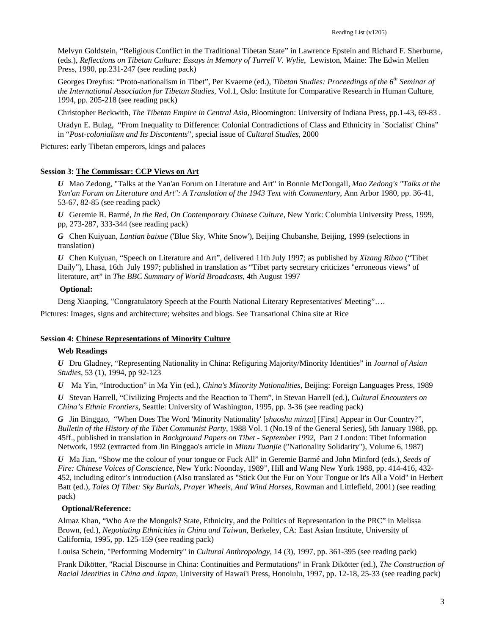Melvyn Goldstein, "Religious Conflict in the Traditional Tibetan State" in Lawrence Epstein and Richard F. Sherburne, (eds.), *Reflections on Tibetan Culture: Essays in Memory of Turrell V. Wylie*, Lewiston, Maine: The Edwin Mellen Press, 1990, pp.231-247 (see reading pack)

Georges Dreyfus: "Proto-nationalism in Tibet", Per Kvaerne (ed.), *Tibetan Studies: Proceedings of the 6th Seminar of the International Association for Tibetan Studies*, Vol.1, Oslo: Institute for Comparative Research in Human Culture, 1994, pp. 205-218 (see reading pack)

Christopher Beckwith, *The Tibetan Empire in Central Asia*, Bloomington: University of Indiana Press, pp.1-43, 69-83 .

Uradyn E. Bulag, "From Inequality to Difference: Colonial Contradictions of Class and Ethnicity in `Socialist' China" in "*Post-colonialism and Its Discontents*", special issue of *Cultural Studies*, 2000

Pictures: early Tibetan emperors, kings and palaces

### **Session 3: The Commissar: CCP Views on Art**

*U* Mao Zedong, "Talks at the Yan'an Forum on Literature and Art" in Bonnie McDougall, *Mao Zedong's "Talks at the Yan'an Forum on Literature and Art": A Translation of the 1943 Text with Commentary*, Ann Arbor 1980, pp. 36-41, 53-67, 82-85 (see reading pack)

*U* Geremie R. Barmé, *In the Red, On Contemporary Chinese Culture*, New York: Columbia University Press, 1999, pp, 273-287, 333-344 (see reading pack)

*G* Chen Kuiyuan, *Lantian baixue* ('Blue Sky, White Snow'), Beijing Chubanshe, Beijing, 1999 (selections in translation)

*U* Chen Kuiyuan, "Speech on Literature and Art", delivered 11th July 1997; as published by *Xizang Ribao* ("Tibet Daily"), Lhasa, 16th July 1997; published in translation as "Tibet party secretary criticizes "erroneous views" of literature, art" in *The BBC Summary of World Broadcasts*, 4th August 1997

#### **Optional:**

Deng Xiaoping, "Congratulatory Speech at the Fourth National Literary Representatives' Meeting"….

Pictures: Images, signs and architecture; websites and blogs. See Transational China site at Rice

#### **Session 4: Chinese Representations of Minority Culture**

# **Web Readings**

*U* Dru Gladney, "Representing Nationality in China: Refiguring Majority/Minority Identities" in *Journal of Asian Studies*, 53 (1), 1994, pp 92-123

*U* Ma Yin, "Introduction" in Ma Yin (ed.), *China's Minority Nationalities*, Beijing: Foreign Languages Press, 1989

*U* Stevan Harrell, "Civilizing Projects and the Reaction to Them", in Stevan Harrell (ed.), *Cultural Encounters on China's Ethnic Frontiers*, Seattle: University of Washington, 1995, pp. 3-36 (see reading pack)

*G* Jin Binggao, "When Does The Word 'Minority Nationality' [*shaoshu minzu*] [First] Appear in Our Country?", *Bulletin of the History of the Tibet Communist Party*, 1988 Vol. 1 (No.19 of the General Series), 5th January 1988, pp. 45ff., published in translation in *Background Papers on Tibet - September 1992*, Part 2 London: Tibet Information Network, 1992 (extracted from Jin Binggao's article in *Minzu Tuanjie* ("Nationality Solidarity"), Volume 6, 1987)

*U* Ma Jian, "Show me the colour of your tongue or Fuck All" in Geremie Barmé and John Minford (eds.), *Seeds of Fire: Chinese Voices of Conscience*, New York: Noonday, 1989", Hill and Wang New York 1988, pp. 414-416, 432- 452, including editor's introduction (Also translated as "Stick Out the Fur on Your Tongue or It's All a Void" in Herbert Batt (ed.), *Tales Of Tibet: Sky Burials, Prayer Wheels, And Wind Horses*, Rowman and Littlefield, 2001) (see reading pack)

# **Optional/Reference:**

Almaz Khan, "Who Are the Mongols? State, Ethnicity, and the Politics of Representation in the PRC" in Melissa Brown, (ed.), *Negotiating Ethnicities in China and Taiwan*, Berkeley, CA: East Asian Institute, University of California, 1995, pp. 125-159 (see reading pack)

Louisa Schein, "Performing Modernity" in *Cultural Anthropology*, 14 (3), 1997, pp. 361-395 (see reading pack)

Frank Dikötter, "Racial Discourse in China: Continuities and Permutations" in Frank Dikötter (ed.), *The Construction of Racial Identities in China and Japan*, University of Hawai'i Press, Honolulu, 1997, pp. 12-18, 25-33 (see reading pack)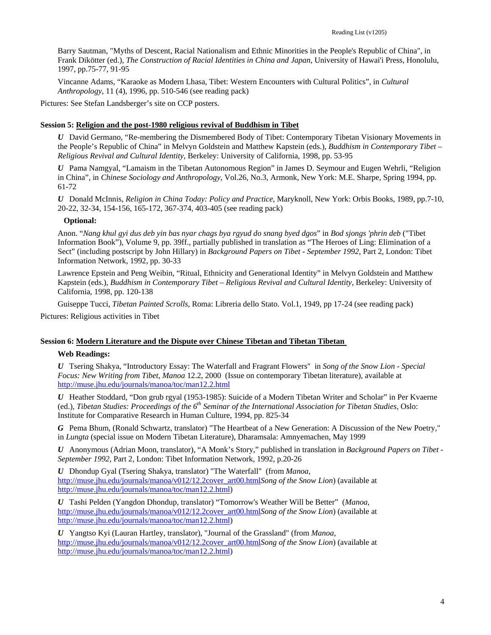Barry Sautman, "Myths of Descent, Racial Nationalism and Ethnic Minorities in the People's Republic of China", in Frank Dikötter (ed.), *The Construction of Racial Identities in China and Japan*, University of Hawai'i Press, Honolulu, 1997, pp.75-77, 91-95

Vincanne Adams, "Karaoke as Modern Lhasa, Tibet: Western Encounters with Cultural Politics", in *Cultural Anthropology*, 11 (4), 1996, pp. 510-546 (see reading pack)

Pictures: See Stefan Landsberger's site on CCP posters.

#### **Session 5: Religion and the post-1980 religious revival of Buddhism in Tibet**

*U* David Germano, "Re-membering the Dismembered Body of Tibet: Contemporary Tibetan Visionary Movements in the People's Republic of China" in Melvyn Goldstein and Matthew Kapstein (eds.), *Buddhism in Contemporary Tibet – Religious Revival and Cultural Identity*, Berkeley: University of California, 1998, pp. 53-95

*U* Pama Namgyal, "Lamaism in the Tibetan Autonomous Region" in James D. Seymour and Eugen Wehrli, "Religion in China", in *Chinese Sociology and Anthropology*, Vol.26, No.3, Armonk, New York: M.E. Sharpe, Spring 1994, pp. 61-72

*U* Donald McInnis, *Religion in China Today: Policy and Practice*, Maryknoll, New York: Orbis Books, 1989, pp.7-10, 20-22, 32-34, 154-156, 165-172, 367-374, 403-405 (see reading pack)

# **Optional:**

Anon. "*Nang khul gyi dus deb yin bas nyar chags bya rgyud do snang byed dgos*" in *Bod sjongs 'phrin deb* ("Tibet Information Book"), Volume 9, pp. 39ff., partially published in translation as "The Heroes of Ling: Elimination of a Sect" (including postscript by John Hillary) in *Background Papers on Tibet - September 1992*, Part 2, London: Tibet Information Network, 1992, pp. 30-33

Lawrence Epstein and Peng Weibin, "Ritual, Ethnicity and Generational Identity" in Melvyn Goldstein and Matthew Kapstein (eds.), *Buddhism in Contemporary Tibet – Religious Revival and Cultural Identity*, Berkeley: University of California, 1998, pp. 120-138

Guiseppe Tucci, *Tibetan Painted Scrolls*, Roma: Libreria dello Stato. Vol.1, 1949, pp 17-24 (see reading pack)

Pictures: Religious activities in Tibet

### **Session 6: Modern Literature and the Dispute over Chinese Tibetan and Tibetan Tibetan**

#### **Web Readings:**

*U* Tsering Shakya, "Introductory Essay: The Waterfall and Fragrant Flowers" in *Song of the Snow Lion - Special Focus: New Writing from Tibet*, *Manoa* 12.2, 2000 (Issue on contemporary Tibetan literature), available at <http://muse.jhu.edu/journals/manoa/toc/man12.2.html>

*U* Heather Stoddard, "Don grub rgyal (1953-1985): Suicide of a Modern Tibetan Writer and Scholar" in Per Kvaerne (ed.), *Tibetan Studies: Proceedings of the 6th Seminar of the International Association for Tibetan Studies*, Oslo: Institute for Comparative Research in Human Culture, 1994, pp. 825-34

*G* Pema Bhum, (Ronald Schwartz, translator) "The Heartbeat of a New Generation: A Discussion of the New Poetry," in *Lungta* (special issue on Modern Tibetan Literature), Dharamsala: Amnyemachen, May 1999

*U* Anonymous (Adrian Moon, translator), "A Monk's Story," published in translation in *Background Papers on Tibet - September 1992*, Part 2, London: Tibet Information Network, 1992, p.20-26

*U* Dhondup Gyal (Tsering Shakya, translator) "The Waterfall" (from *Manoa*, [http://muse.jhu.edu/journals/manoa/v012/12.2cover\\_art00.html](http://muse.jhu.edu/journals/manoa/v012/12.2cover_art00.html)*Song of the Snow Lion*) (available at [http://muse.jhu.edu/journals/manoa/toc/man12.2.html\)](http://muse.jhu.edu/journals/manoa/toc/man12.2.html)

*U* Tashi Pelden (Yangdon Dhondup, translator) "Tomorrow's Weather Will be Better" (*Manoa*, [http://muse.jhu.edu/journals/manoa/v012/12.2cover\\_art00.html](http://muse.jhu.edu/journals/manoa/v012/12.2cover_art00.html)*Song of the Snow Lion*) (available at [http://muse.jhu.edu/journals/manoa/toc/man12.2.html\)](http://muse.jhu.edu/journals/manoa/toc/man12.2.html)

*U* Yangtso Kyi (Lauran Hartley, translator), "Journal of the Grassland" (from *Manoa*, [http://muse.jhu.edu/journals/manoa/v012/12.2cover\\_art00.html](http://muse.jhu.edu/journals/manoa/v012/12.2cover_art00.html)*Song of the Snow Lion*) (available at [http://muse.jhu.edu/journals/manoa/toc/man12.2.html\)](http://muse.jhu.edu/journals/manoa/toc/man12.2.html)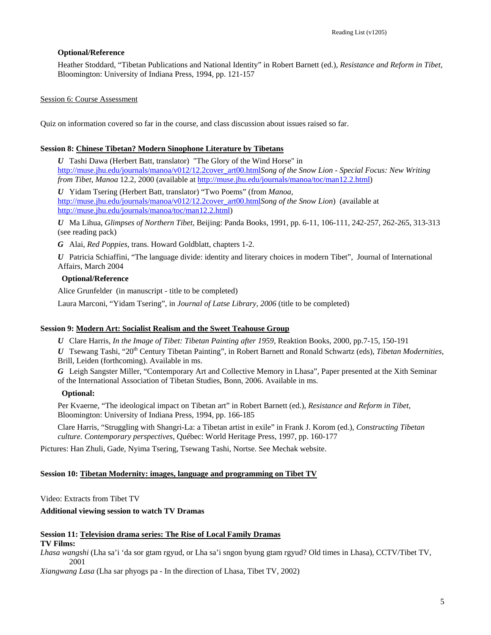# **Optional/Reference**

Heather Stoddard, "Tibetan Publications and National Identity" in Robert Barnett (ed.), *Resistance and Reform in Tibet*, Bloomington: University of Indiana Press, 1994, pp. 121-157

#### Session 6: Course Assessment

Quiz on information covered so far in the course, and class discussion about issues raised so far.

#### **Session 8: Chinese Tibetan? Modern Sinophone Literature by Tibetans**

*U* Tashi Dawa (Herbert Batt, translator) "The Glory of the Wind Horse" in [http://muse.jhu.edu/journals/manoa/v012/12.2cover\\_art00.html](http://muse.jhu.edu/journals/manoa/v012/12.2cover_art00.html)*Song of the Snow Lion - Special Focus: New Writing from Tibet*, *Manoa* 12.2, 2000 (available at [http://muse.jhu.edu/journals/manoa/toc/man12.2.html\)](http://muse.jhu.edu/journals/manoa/toc/man12.2.html)

*U* Yidam Tsering (Herbert Batt, translator) "Two Poems" (from *Manoa*, [http://muse.jhu.edu/journals/manoa/v012/12.2cover\\_art00.html](http://muse.jhu.edu/journals/manoa/v012/12.2cover_art00.html)*Song of the Snow Lion*) (available at [http://muse.jhu.edu/journals/manoa/toc/man12.2.html\)](http://muse.jhu.edu/journals/manoa/toc/man12.2.html)

*U* Ma Lihua, *Glimpses of Northern Tibet*, Beijing: Panda Books, 1991, pp. 6-11, 106-111, 242-257, 262-265, 313-313 (see reading pack)

*G* Alai, *Red Poppies*, trans. Howard Goldblatt, chapters 1-2.

*U* Patricia Schiaffini, "The language divide: identity and literary choices in modern Tibet", Journal of International Affairs, March 2004

#### **Optional/Reference**

Alice Grunfelder (in manuscript - title to be completed)

Laura Marconi, "Yidam Tsering", in *Journal of Latse Library, 2006* (title to be completed)

#### **Session 9: Modern Art: Socialist Realism and the Sweet Teahouse Group**

*U* Clare Harris, *In the Image of Tibet: Tibetan Painting after 1959*, Reaktion Books, 2000, pp.7-15, 150-191

*U* Tsewang Tashi, "20<sup>th</sup> Century Tibetan Painting", in Robert Barnett and Ronald Schwartz (eds), *Tibetan Modernities*, Brill, Leiden (forthcoming). Available in ms.

*G* Leigh Sangster Miller, "Contemporary Art and Collective Memory in Lhasa", Paper presented at the Xith Seminar of the International Association of Tibetan Studies, Bonn, 2006. Available in ms.

#### **Optional:**

Per Kvaerne, "The ideological impact on Tibetan art" in Robert Barnett (ed.), *Resistance and Reform in Tibet*, Bloomington: University of Indiana Press, 1994, pp. 166-185

Clare Harris, "Struggling with Shangri-La: a Tibetan artist in exile" in Frank J. Korom (ed.), *Constructing Tibetan culture. Contemporary perspectives*, Québec: World Heritage Press, 1997, pp. 160-177

Pictures: Han Zhuli, Gade, Nyima Tsering, Tsewang Tashi, Nortse. See Mechak website.

#### **Session 10: Tibetan Modernity: images, language and programming on Tibet TV**

Video: Extracts from Tibet TV

#### **Additional viewing session to watch TV Dramas**

#### **Session 11: Television drama series: The Rise of Local Family Dramas TV Films:**

*Lhasa wangshi* (Lha sa'i 'da sor gtam rgyud, or Lha sa'i sngon byung gtam rgyud? Old times in Lhasa), CCTV/Tibet TV, 2001

*Xiangwang Lasa* (Lha sar phyogs pa - In the direction of Lhasa, Tibet TV, 2002)